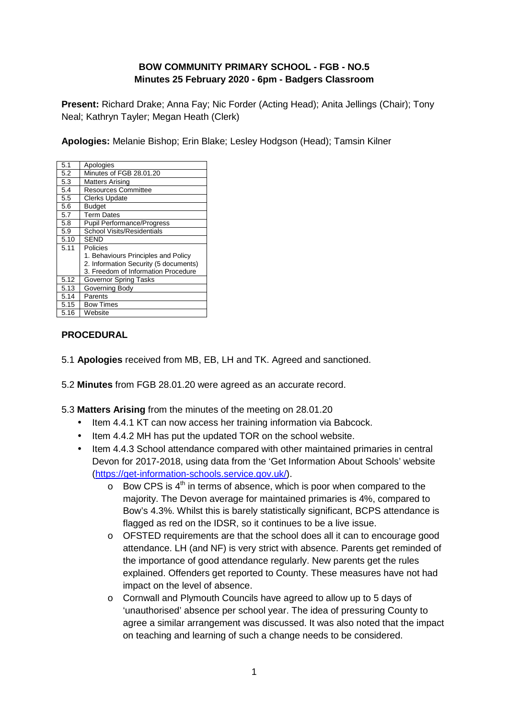# **BOW COMMUNITY PRIMARY SCHOOL - FGB - NO.5 Minutes 25 February 2020 - 6pm - Badgers Classroom**

**Present:** Richard Drake; Anna Fay; Nic Forder (Acting Head); Anita Jellings (Chair); Tony Neal; Kathryn Tayler; Megan Heath (Clerk)

**Apologies:** Melanie Bishop; Erin Blake; Lesley Hodgson (Head); Tamsin Kilner

| 5.1  | Apologies                             |
|------|---------------------------------------|
| 5.2  | Minutes of FGB 28.01.20               |
| 5.3  | <b>Matters Arising</b>                |
| 5.4  | <b>Resources Committee</b>            |
| 5.5  | <b>Clerks Update</b>                  |
| 5.6  | <b>Budget</b>                         |
| 5.7  | <b>Term Dates</b>                     |
| 5.8  | <b>Pupil Performance/Progress</b>     |
| 5.9  | School Visits/Residentials            |
| 5.10 | <b>SEND</b>                           |
| 5.11 | Policies                              |
|      | 1. Behaviours Principles and Policy   |
|      | 2. Information Security (5 documents) |
|      | 3. Freedom of Information Procedure   |
| 5.12 | Governor Spring Tasks                 |
| 5.13 | Governing Body                        |
| 5.14 | Parents                               |
| 5.15 | <b>Bow Times</b>                      |
| 5.16 | Website                               |

# **PROCEDURAL**

- 5.1 **Apologies** received from MB, EB, LH and TK. Agreed and sanctioned.
- 5.2 **Minutes** from FGB 28.01.20 were agreed as an accurate record.

5.3 **Matters Arising** from the minutes of the meeting on 28.01.20

- Item 4.4.1 KT can now access her training information via Babcock.
- Item 4.4.2 MH has put the updated TOR on the school website.
- Item 4.4.3 School attendance compared with other maintained primaries in central Devon for 2017-2018, using data from the 'Get Information About Schools' website (https://get-information-schools.service.gov.uk/).
	- $\circ$  Bow CPS is  $4<sup>th</sup>$  in terms of absence, which is poor when compared to the majority. The Devon average for maintained primaries is 4%, compared to Bow's 4.3%. Whilst this is barely statistically significant, BCPS attendance is flagged as red on the IDSR, so it continues to be a live issue.
	- o OFSTED requirements are that the school does all it can to encourage good attendance. LH (and NF) is very strict with absence. Parents get reminded of the importance of good attendance regularly. New parents get the rules explained. Offenders get reported to County. These measures have not had impact on the level of absence.
	- o Cornwall and Plymouth Councils have agreed to allow up to 5 days of 'unauthorised' absence per school year. The idea of pressuring County to agree a similar arrangement was discussed. It was also noted that the impact on teaching and learning of such a change needs to be considered.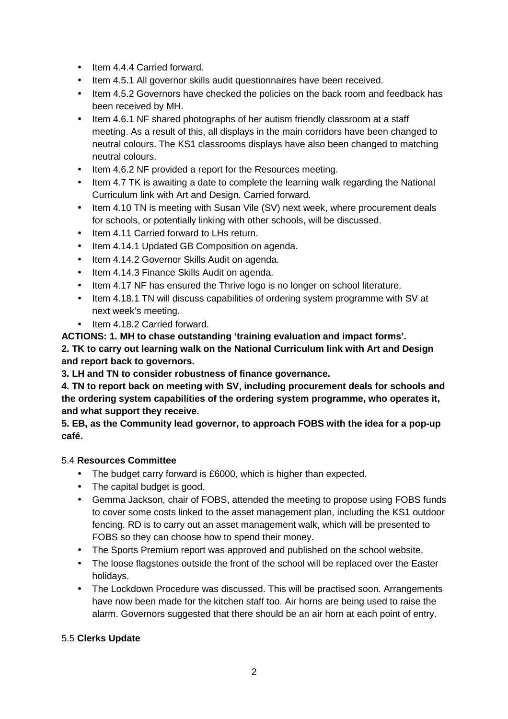- Item 4.4.4 Carried forward.
- Item 4.5.1 All governor skills audit questionnaires have been received.
- Item 4.5.2 Governors have checked the policies on the back room and feedback has been received by MH.
- Item 4.6.1 NF shared photographs of her autism friendly classroom at a staff meeting. As a result of this, all displays in the main corridors have been changed to neutral colours. The KS1 classrooms displays have also been changed to matching neutral colours.
- Item 4.6.2 NF provided a report for the Resources meeting.
- Item 4.7 TK is awaiting a date to complete the learning walk regarding the National Curriculum link with Art and Design. Carried forward.
- Item 4.10 TN is meeting with Susan Vile (SV) next week, where procurement deals for schools, or potentially linking with other schools, will be discussed.
- Item 4.11 Carried forward to LHs return.
- Item 4.14.1 Updated GB Composition on agenda.
- Item 4.14.2 Governor Skills Audit on agenda.
- Item 4.14.3 Finance Skills Audit on agenda.
- Item 4.17 NF has ensured the Thrive logo is no longer on school literature.
- Item 4.18.1 TN will discuss capabilities of ordering system programme with SV at next week's meeting.
- Item 4.18.2 Carried forward.

**ACTIONS: 1. MH to chase outstanding 'training evaluation and impact forms'. 2. TK to carry out learning walk on the National Curriculum link with Art and Design and report back to governors.** 

**3. LH and TN to consider robustness of finance governance.** 

**4. TN to report back on meeting with SV, including procurement deals for schools and the ordering system capabilities of the ordering system programme, who operates it, and what support they receive.** 

**5. EB, as the Community lead governor, to approach FOBS with the idea for a pop-up café.** 

## 5.4 **Resources Committee**

- The budget carry forward is £6000, which is higher than expected.
- The capital budget is good.
- Gemma Jackson, chair of FOBS, attended the meeting to propose using FOBS funds to cover some costs linked to the asset management plan, including the KS1 outdoor fencing. RD is to carry out an asset management walk, which will be presented to FOBS so they can choose how to spend their money.
- The Sports Premium report was approved and published on the school website.
- The loose flagstones outside the front of the school will be replaced over the Easter holidays.
- The Lockdown Procedure was discussed. This will be practised soon. Arrangements have now been made for the kitchen staff too. Air horns are being used to raise the alarm. Governors suggested that there should be an air horn at each point of entry.

## 5.5 **Clerks Update**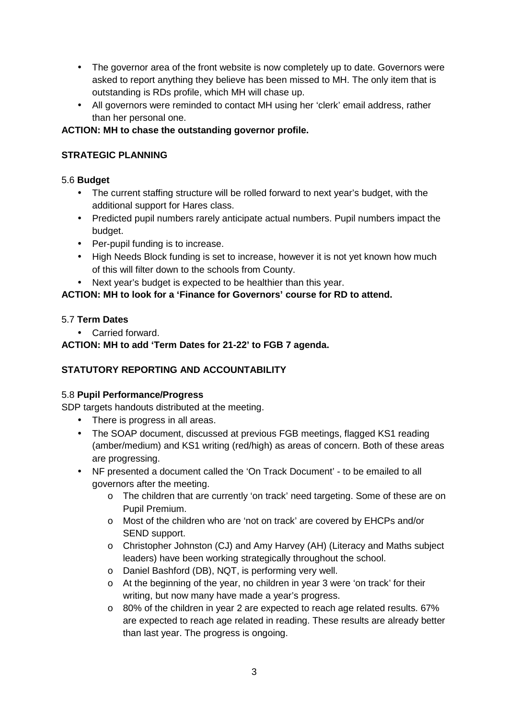- The governor area of the front website is now completely up to date. Governors were asked to report anything they believe has been missed to MH. The only item that is outstanding is RDs profile, which MH will chase up.
- All governors were reminded to contact MH using her 'clerk' email address, rather than her personal one.

## **ACTION: MH to chase the outstanding governor profile.**

## **STRATEGIC PLANNING**

## 5.6 **Budget**

- The current staffing structure will be rolled forward to next year's budget, with the additional support for Hares class.
- Predicted pupil numbers rarely anticipate actual numbers. Pupil numbers impact the budget.
- Per-pupil funding is to increase.
- High Needs Block funding is set to increase, however it is not yet known how much of this will filter down to the schools from County.
- Next year's budget is expected to be healthier than this year.

# **ACTION: MH to look for a 'Finance for Governors' course for RD to attend.**

## 5.7 **Term Dates**

• Carried forward.

# **ACTION: MH to add 'Term Dates for 21-22' to FGB 7 agenda.**

# **STATUTORY REPORTING AND ACCOUNTABILITY**

## 5.8 **Pupil Performance/Progress**

SDP targets handouts distributed at the meeting.

- There is progress in all areas.
- The SOAP document, discussed at previous FGB meetings, flagged KS1 reading (amber/medium) and KS1 writing (red/high) as areas of concern. Both of these areas are progressing.
- NF presented a document called the 'On Track Document' to be emailed to all governors after the meeting.
	- o The children that are currently 'on track' need targeting. Some of these are on Pupil Premium.
	- o Most of the children who are 'not on track' are covered by EHCPs and/or SEND support.
	- o Christopher Johnston (CJ) and Amy Harvey (AH) (Literacy and Maths subject leaders) have been working strategically throughout the school.
	- o Daniel Bashford (DB), NQT, is performing very well.
	- o At the beginning of the year, no children in year 3 were 'on track' for their writing, but now many have made a year's progress.
	- $\circ$  80% of the children in year 2 are expected to reach age related results. 67% are expected to reach age related in reading. These results are already better than last year. The progress is ongoing.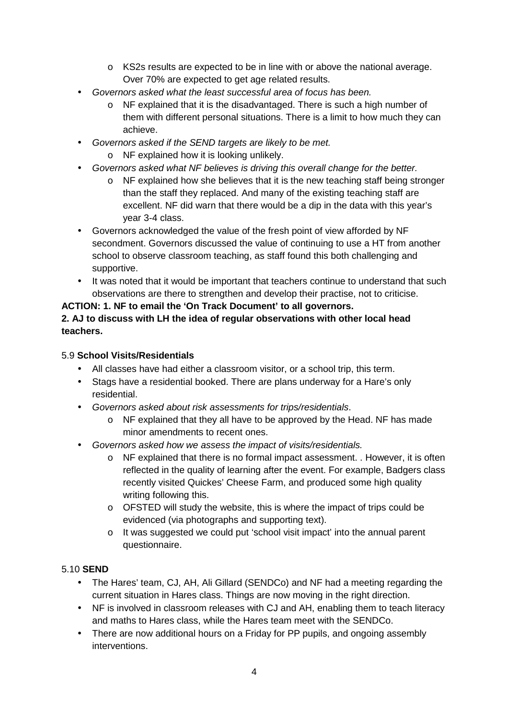- o KS2s results are expected to be in line with or above the national average. Over 70% are expected to get age related results.
- Governors asked what the least successful area of focus has been.
	- $\circ$  NF explained that it is the disadvantaged. There is such a high number of them with different personal situations. There is a limit to how much they can achieve.
- Governors asked if the SEND targets are likely to be met.
	- o NF explained how it is looking unlikely.
- Governors asked what NF believes is driving this overall change for the better.
	- o NF explained how she believes that it is the new teaching staff being stronger than the staff they replaced. And many of the existing teaching staff are excellent. NF did warn that there would be a dip in the data with this year's year 3-4 class.
- Governors acknowledged the value of the fresh point of view afforded by NF secondment. Governors discussed the value of continuing to use a HT from another school to observe classroom teaching, as staff found this both challenging and supportive.
- It was noted that it would be important that teachers continue to understand that such observations are there to strengthen and develop their practise, not to criticise.

## **ACTION: 1. NF to email the 'On Track Document' to all governors.**

#### **2. AJ to discuss with LH the idea of regular observations with other local head teachers.**

## 5.9 **School Visits/Residentials**

- All classes have had either a classroom visitor, or a school trip, this term.
- Stags have a residential booked. There are plans underway for a Hare's only residential.
- Governors asked about risk assessments for trips/residentials.
	- o NF explained that they all have to be approved by the Head. NF has made minor amendments to recent ones.
- Governors asked how we assess the impact of visits/residentials.
	- o NF explained that there is no formal impact assessment. . However, it is often reflected in the quality of learning after the event. For example, Badgers class recently visited Quickes' Cheese Farm, and produced some high quality writing following this.
	- o OFSTED will study the website, this is where the impact of trips could be evidenced (via photographs and supporting text).
	- o It was suggested we could put 'school visit impact' into the annual parent questionnaire.

#### 5.10 **SEND**

- The Hares' team, CJ, AH, Ali Gillard (SENDCo) and NF had a meeting regarding the current situation in Hares class. Things are now moving in the right direction.
- NF is involved in classroom releases with CJ and AH, enabling them to teach literacy and maths to Hares class, while the Hares team meet with the SENDCo.
- There are now additional hours on a Friday for PP pupils, and ongoing assembly interventions.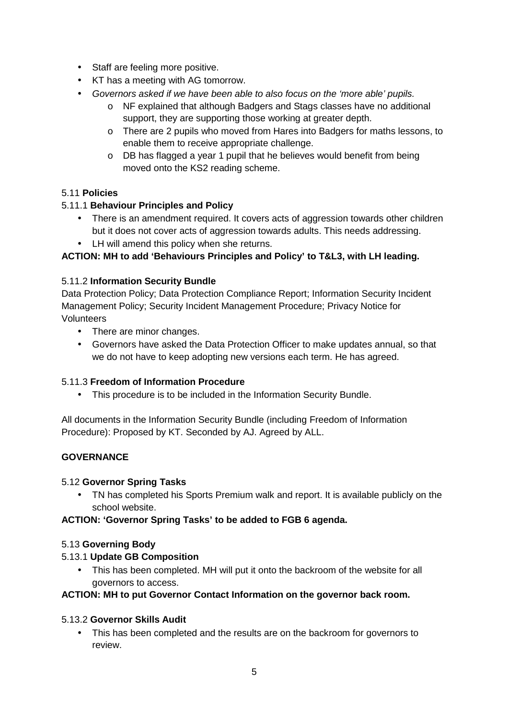- Staff are feeling more positive.
- KT has a meeting with AG tomorrow.
- Governors asked if we have been able to also focus on the 'more able' pupils.
	- o NF explained that although Badgers and Stags classes have no additional support, they are supporting those working at greater depth.
	- o There are 2 pupils who moved from Hares into Badgers for maths lessons, to enable them to receive appropriate challenge.
	- o DB has flagged a year 1 pupil that he believes would benefit from being moved onto the KS2 reading scheme.

# 5.11 **Policies**

# 5.11.1 **Behaviour Principles and Policy**

- There is an amendment required. It covers acts of aggression towards other children but it does not cover acts of aggression towards adults. This needs addressing.
- LH will amend this policy when she returns.

# **ACTION: MH to add 'Behaviours Principles and Policy' to T&L3, with LH leading.**

## 5.11.2 **Information Security Bundle**

Data Protection Policy; Data Protection Compliance Report; Information Security Incident Management Policy; Security Incident Management Procedure; Privacy Notice for Volunteers

- There are minor changes.
- Governors have asked the Data Protection Officer to make updates annual, so that we do not have to keep adopting new versions each term. He has agreed.

## 5.11.3 **Freedom of Information Procedure**

• This procedure is to be included in the Information Security Bundle.

All documents in the Information Security Bundle (including Freedom of Information Procedure): Proposed by KT. Seconded by AJ. Agreed by ALL.

## **GOVERNANCE**

## 5.12 **Governor Spring Tasks**

• TN has completed his Sports Premium walk and report. It is available publicly on the school website.

## **ACTION: 'Governor Spring Tasks' to be added to FGB 6 agenda.**

## 5.13 **Governing Body**

## 5.13.1 **Update GB Composition**

• This has been completed. MH will put it onto the backroom of the website for all governors to access.

## **ACTION: MH to put Governor Contact Information on the governor back room.**

## 5.13.2 **Governor Skills Audit**

• This has been completed and the results are on the backroom for governors to review.